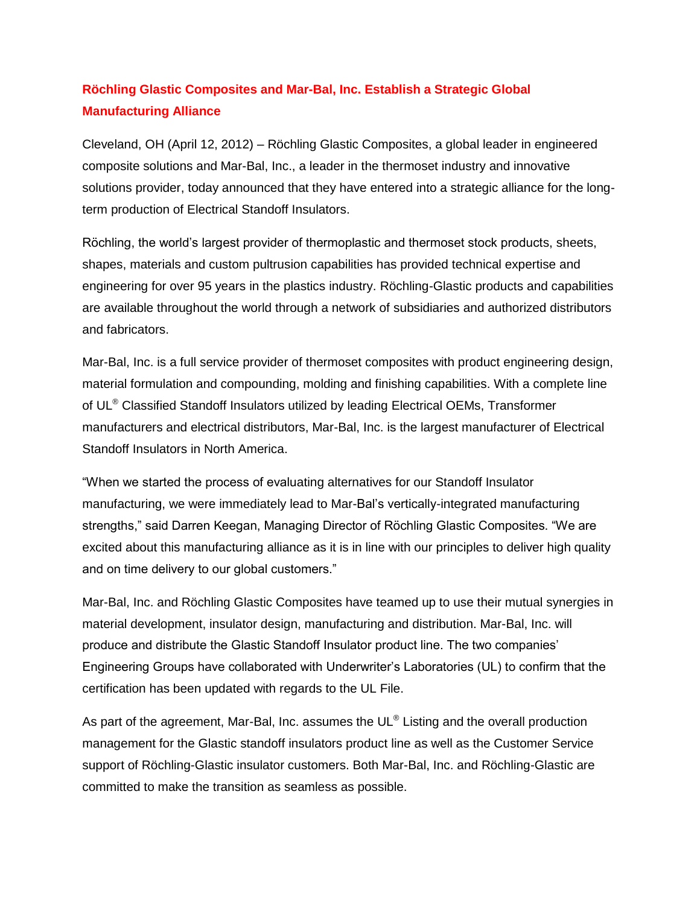## **Röchling Glastic Composites and Mar-Bal, Inc. Establish a Strategic Global Manufacturing Alliance**

Cleveland, OH (April 12, 2012) – Röchling Glastic Composites, a global leader in engineered composite solutions and Mar-Bal, Inc., a leader in the thermoset industry and innovative solutions provider, today announced that they have entered into a strategic alliance for the longterm production of Electrical Standoff Insulators.

Röchling, the world's largest provider of thermoplastic and thermoset stock products, sheets, shapes, materials and custom pultrusion capabilities has provided technical expertise and engineering for over 95 years in the plastics industry. Röchling-Glastic products and capabilities are available throughout the world through a network of subsidiaries and authorized distributors and fabricators.

Mar-Bal, Inc. is a full service provider of thermoset composites with product engineering design, material formulation and compounding, molding and finishing capabilities. With a complete line of UL<sup>®</sup> Classified Standoff Insulators utilized by leading Electrical OEMs, Transformer manufacturers and electrical distributors, Mar-Bal, Inc. is the largest manufacturer of Electrical Standoff Insulators in North America.

"When we started the process of evaluating alternatives for our Standoff Insulator manufacturing, we were immediately lead to Mar-Bal's vertically-integrated manufacturing strengths," said Darren Keegan, Managing Director of Röchling Glastic Composites. "We are excited about this manufacturing alliance as it is in line with our principles to deliver high quality and on time delivery to our global customers."

Mar-Bal, Inc. and Röchling Glastic Composites have teamed up to use their mutual synergies in material development, insulator design, manufacturing and distribution. Mar-Bal, Inc. will produce and distribute the Glastic Standoff Insulator product line. The two companies' Engineering Groups have collaborated with Underwriter's Laboratories (UL) to confirm that the certification has been updated with regards to the UL File.

As part of the agreement, Mar-Bal, Inc. assumes the UL $^{\circ}$  Listing and the overall production management for the Glastic standoff insulators product line as well as the Customer Service support of Röchling-Glastic insulator customers. Both Mar-Bal, Inc. and Röchling-Glastic are committed to make the transition as seamless as possible.